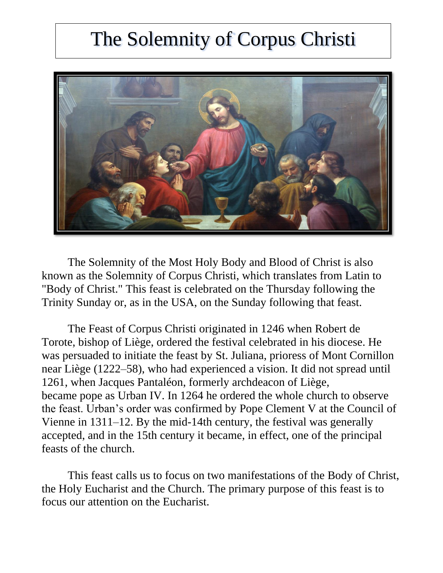# The Solemnity of Corpus Christi



The Solemnity of the Most Holy Body and Blood of Christ is also known as the Solemnity of Corpus Christi, which translates from Latin to "Body of Christ." This feast is celebrated on the Thursday following the Trinity Sunday or, as in the USA, on the Sunday following that feast.

The Feast of [Corpus](https://www.britannica.com/dictionary/Corpus) Christi originated in 1246 when Robert de Torote, [bishop](https://www.britannica.com/topic/bishop-Christianity) of [Liège,](https://www.britannica.com/place/Liege-Belgium) ordered the festival celebrated in his [diocese.](https://www.britannica.com/topic/diocese) He was persuaded to initiate the feast by St. Juliana, prioress of Mont Cornillon near Liège (1222–58), who had experienced a vision. It did not spread until 1261, when Jacques Pantaléon, formerly archdeacon of Liège, became [pope](https://www.britannica.com/topic/pope) as [Urban IV.](https://www.britannica.com/biography/Urban-IV) In 1264 he ordered the whole church to observe the feast. Urban's order was confirmed by Pope [Clement V](https://www.britannica.com/biography/Clement-V) at the [Council of](https://www.britannica.com/event/Council-of-Vienne)  [Vienne](https://www.britannica.com/event/Council-of-Vienne) in 1311–12. By the mid-14th century, the festival was generally accepted, and in the 15th century it became, in effect, one of the principal feasts of the church.

This feast calls us to focus on two manifestations of the Body of Christ, the Holy Eucharist and the Church. The primary purpose of this feast is to focus our attention on the Eucharist.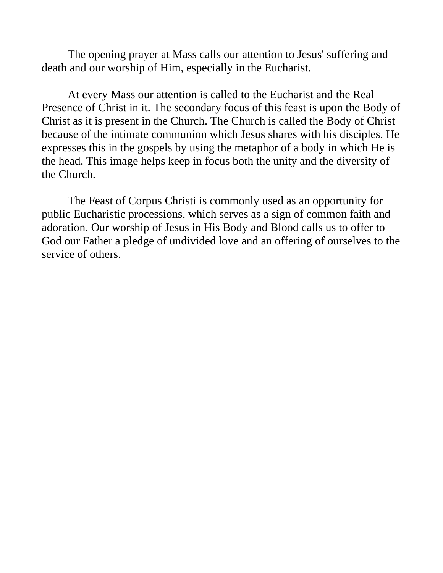The opening prayer at Mass calls our attention to Jesus' suffering and death and our worship of Him, especially in the Eucharist.

At every Mass our attention is called to the Eucharist and the Real Presence of Christ in it. The secondary focus of this feast is upon the Body of Christ as it is present in the Church. The Church is called the Body of Christ because of the intimate communion which Jesus shares with his disciples. He expresses this in the gospels by using the metaphor of a body in which He is the head. This image helps keep in focus both the unity and the diversity of the Church.

The Feast of Corpus Christi is commonly used as an opportunity for public Eucharistic processions, which serves as a sign of common faith and adoration. Our worship of Jesus in His Body and Blood calls us to offer to God our Father a pledge of undivided love and an offering of ourselves to the service of others.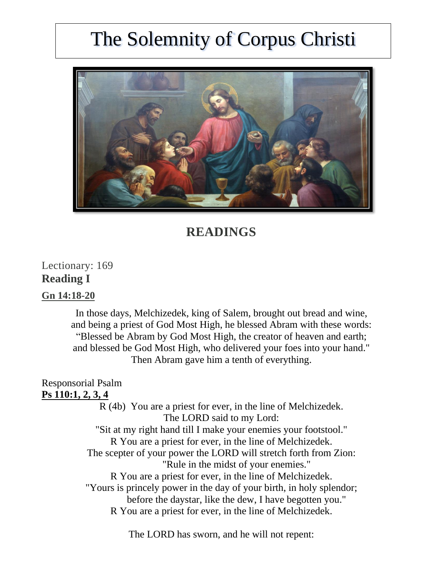# The Solemnity of Corpus Christi



# **READINGS**

Lectionary: 169 **Reading I**

#### **Gn [14:18-20](https://bible.usccb.org/bible/genesis/14?18)**

In those days, Melchizedek, king of Salem, brought out bread and wine, and being a priest of God Most High, he blessed Abram with these words: "Blessed be Abram by God Most High, the creator of heaven and earth; and blessed be God Most High, who delivered your foes into your hand." Then Abram gave him a tenth of everything.

## Responsorial Psalm

### **Ps [110:1,](https://bible.usccb.org/bible/psalms/110?1) 2, 3, 4**

R (4b) You are a priest for ever, in the line of Melchizedek. The LORD said to my Lord: "Sit at my right hand till I make your enemies your footstool." R You are a priest for ever, in the line of Melchizedek. The scepter of your power the LORD will stretch forth from Zion: "Rule in the midst of your enemies." R You are a priest for ever, in the line of Melchizedek. "Yours is princely power in the day of your birth, in holy splendor; before the daystar, like the dew, I have begotten you." R You are a priest for ever, in the line of Melchizedek.

The LORD has sworn, and he will not repent: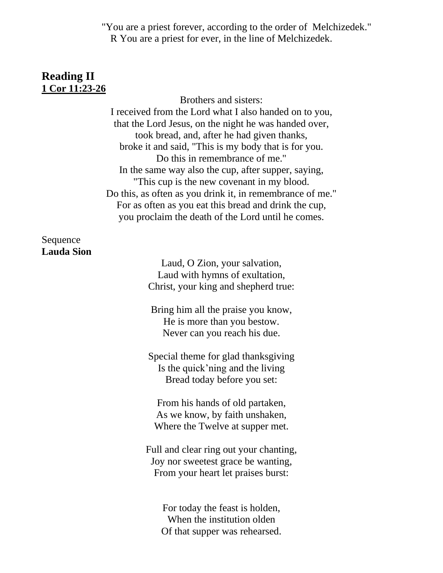"You are a priest forever, according to the order of Melchizedek." R You are a priest for ever, in the line of Melchizedek.

## **Reading II 1 Cor [11:23-26](https://bible.usccb.org/bible/1corinthians/11?23)**

Brothers and sisters: I received from the Lord what I also handed on to you, that the Lord Jesus, on the night he was handed over, took bread, and, after he had given thanks, broke it and said, "This is my body that is for you. Do this in remembrance of me." In the same way also the cup, after supper, saying, "This cup is the new covenant in my blood. Do this, as often as you drink it, in remembrance of me." For as often as you eat this bread and drink the cup, you proclaim the death of the Lord until he comes.

## Sequence **Lauda Sion**

Laud, O Zion, your salvation, Laud with hymns of exultation, Christ, your king and shepherd true:

Bring him all the praise you know, He is more than you bestow. Never can you reach his due.

Special theme for glad thanksgiving Is the quick'ning and the living Bread today before you set:

From his hands of old partaken, As we know, by faith unshaken, Where the Twelve at supper met.

Full and clear ring out your chanting, Joy nor sweetest grace be wanting, From your heart let praises burst:

For today the feast is holden, When the institution olden Of that supper was rehearsed.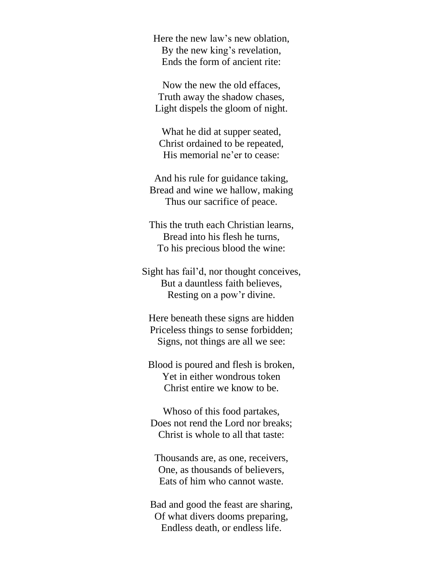Here the new law's new oblation, By the new king's revelation, Ends the form of ancient rite:

Now the new the old effaces, Truth away the shadow chases, Light dispels the gloom of night.

What he did at supper seated, Christ ordained to be repeated, His memorial ne'er to cease:

And his rule for guidance taking, Bread and wine we hallow, making Thus our sacrifice of peace.

This the truth each Christian learns, Bread into his flesh he turns, To his precious blood the wine:

Sight has fail'd, nor thought conceives, But a dauntless faith believes, Resting on a pow'r divine.

Here beneath these signs are hidden Priceless things to sense forbidden; Signs, not things are all we see:

Blood is poured and flesh is broken, Yet in either wondrous token Christ entire we know to be.

Whoso of this food partakes, Does not rend the Lord nor breaks; Christ is whole to all that taste:

Thousands are, as one, receivers, One, as thousands of believers, Eats of him who cannot waste.

Bad and good the feast are sharing, Of what divers dooms preparing, Endless death, or endless life.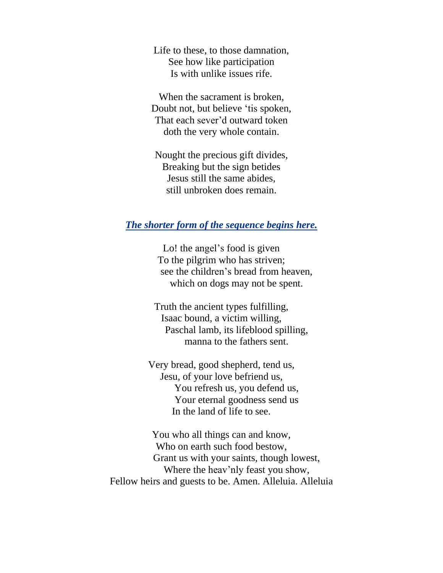Life to these, to those damnation, See how like participation Is with unlike issues rife.

When the sacrament is broken, Doubt not, but believe 'tis spoken, That each sever'd outward token doth the very whole contain.

Nought the precious gift divides, Breaking but the sign betides Jesus still the same abides, still unbroken does remain.

#### *The shorter form of the sequence begins here.*

Lo! the angel's food is given To the pilgrim who has striven; see the children's bread from heaven, which on dogs may not be spent.

Truth the ancient types fulfilling, Isaac bound, a victim willing, Paschal lamb, its lifeblood spilling, manna to the fathers sent.

Very bread, good shepherd, tend us, Jesu, of your love befriend us, You refresh us, you defend us, Your eternal goodness send us In the land of life to see.

You who all things can and know, Who on earth such food bestow, Grant us with your saints, though lowest, Where the heav'nly feast you show, Fellow heirs and guests to be. Amen. Alleluia. Alleluia